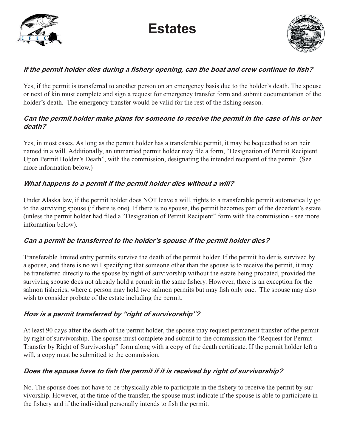

**Estates**



# If the permit holder dies during a fishery opening, can the boat and crew continue to fish?

Yes, if the permit is transferred to another person on an emergency basis due to the holder's death. The spouse or next of kin must complete and sign a request for emergency transfer form and submit documentation of the holder's death. The emergency transfer would be valid for the rest of the fishing season.

#### **Can the permit holder make plans for someone to receive the permit in the case of his or her death?**

Yes, in most cases. As long as the permit holder has a transferable permit, it may be bequeathed to an heir named in a will. Additionally, an unmarried permit holder may file a form, "Designation of Permit Recipient Upon Permit Holder's Death", with the commission, designating the intended recipient of the permit. (See more information below.)

## **What happens to a permit if the permit holder dies without a will?**

Under Alaska law, if the permit holder does NOT leave a will, rights to a transferable permit automatically go to the surviving spouse (if there is one). If there is no spouse, the permit becomes part of the decedent's estate (unless the permit holder had filed a "Designation of Permit Recipient" form with the commission - see more information below).

### **Can a permit be transferred to the holder's spouse if the permit holder dies?**

Transferable limited entry permits survive the death of the permit holder. If the permit holder is survived by a spouse, and there is no will specifying that someone other than the spouse is to receive the permit, it may be transferred directly to the spouse by right of survivorship without the estate being probated, provided the surviving spouse does not already hold a permit in the same fishery. However, there is an exception for the salmon fisheries, where a person may hold two salmon permits but may fish only one. The spouse may also wish to consider probate of the estate including the permit.

### **How is a permit transferred by "right of survivorship"?**

At least 90 days after the death of the permit holder, the spouse may request permanent transfer of the permit by right of survivorship. The spouse must complete and submit to the commission the "Request for Permit Transfer by Right of Survivorship" form along with a copy of the death certificate. If the permit holder left a will, a copy must be submitted to the commission.

# Does the spouse have to fish the permit if it is received by right of survivorship?

No. The spouse does not have to be physically able to participate in the fishery to receive the permit by survivorship. However, at the time of the transfer, the spouse must indicate if the spouse is able to participate in the fishery and if the individual personally intends to fish the permit.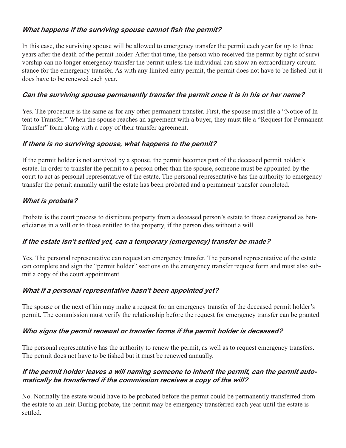## **What happens if the surviving spouse cannot fish the permit?**

In this case, the surviving spouse will be allowed to emergency transfer the permit each year for up to three years after the death of the permit holder. After that time, the person who received the permit by right of survivorship can no longer emergency transfer the permit unless the individual can show an extraordinary circumstance for the emergency transfer. As with any limited entry permit, the permit does not have to be fished but it does have to be renewed each year.

### **Can the surviving spouse permanently transfer the permit once it is in his or her name?**

Yes. The procedure is the same as for any other permanent transfer. First, the spouse must file a "Notice of Intent to Transfer." When the spouse reaches an agreement with a buyer, they must file a "Request for Permanent Transfer" form along with a copy of their transfer agreement.

### **If there is no surviving spouse, what happens to the permit?**

If the permit holder is not survived by a spouse, the permit becomes part of the deceased permit holder's estate. In order to transfer the permit to a person other than the spouse, someone must be appointed by the court to act as personal representative of the estate. The personal representative has the authority to emergency transfer the permit annually until the estate has been probated and a permanent transfer completed.

## **What is probate?**

Probate is the court process to distribute property from a deceased person's estate to those designated as beneficiaries in a will or to those entitled to the property, if the person dies without a will.

### **If the estate isn't settled yet, can a temporary (emergency) transfer be made?**

Yes. The personal representative can request an emergency transfer. The personal representative of the estate can complete and sign the "permit holder" sections on the emergency transfer request form and must also submit a copy of the court appointment.

# **What if a personal representative hasn't been appointed yet?**

The spouse or the next of kin may make a request for an emergency transfer of the deceased permit holder's permit. The commission must verify the relationship before the request for emergency transfer can be granted.

### **Who signs the permit renewal or transfer forms if the permit holder is deceased?**

The personal representative has the authority to renew the permit, as well as to request emergency transfers. The permit does not have to be fished but it must be renewed annually.

#### **If the permit holder leaves a will naming someone to inherit the permit, can the permit automatically be transferred if the commission receives a copy of the will?**

No. Normally the estate would have to be probated before the permit could be permanently transferred from the estate to an heir. During probate, the permit may be emergency transferred each year until the estate is settled.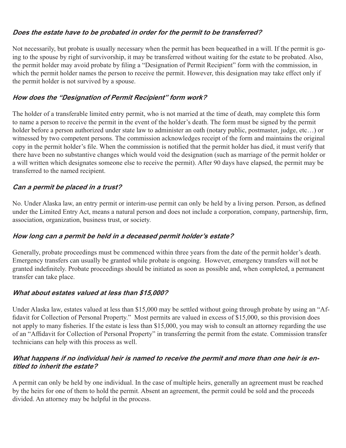### **Does the estate have to be probated in order for the permit to be transferred?**

Not necessarily, but probate is usually necessary when the permit has been bequeathed in a will. If the permit is going to the spouse by right of survivorship, it may be transferred without waiting for the estate to be probated. Also, the permit holder may avoid probate by filing a "Designation of Permit Recipient" form with the commission, in which the permit holder names the person to receive the permit. However, this designation may take effect only if the permit holder is not survived by a spouse.

# **How does the "Designation of Permit Recipient" form work?**

The holder of a transferable limited entry permit, who is not married at the time of death, may complete this form to name a person to receive the permit in the event of the holder's death. The form must be signed by the permit holder before a person authorized under state law to administer an oath (notary public, postmaster, judge, etc...) or witnessed by two competent persons. The commission acknowledges receipt of the form and maintains the original copy in the permit holder's file. When the commission is notified that the permit holder has died, it must verify that there have been no substantive changes which would void the designation (such as marriage of the permit holder or a will written which designates someone else to receive the permit). After 90 days have elapsed, the permit may be transferred to the named recipient.

## **Can a permit be placed in a trust?**

No. Under Alaska law, an entry permit or interim-use permit can only be held by a living person. Person, as defined under the Limited Entry Act, means a natural person and does not include a corporation, company, partnership, firm, association, organization, business trust, or society.

### **How long can a permit be held in a deceased permit holder's estate?**

Generally, probate proceedings must be commenced within three years from the date of the permit holder's death. Emergency transfers can usually be granted while probate is ongoing. However, emergency transfers will not be granted indefinitely. Probate proceedings should be initiated as soon as possible and, when completed, a permanent transfer can take place.

### **What about estates valued at less than \$15,000?**

Under Alaska law, estates valued at less than \$15,000 may be settled without going through probate by using an "Affidavit for Collection of Personal Property." Most permits are valued in excess of \$15,000, so this provision does not apply to many fisheries. If the estate is less than \$15,000, you may wish to consult an attorney regarding the use of an "Affidavit for Collection of Personal Property" in transferring the permit from the estate. Commission transfer technicians can help with this process as well.

### **What happens if no individual heir is named to receive the permit and more than one heir is entitled to inherit the estate?**

A permit can only be held by one individual. In the case of multiple heirs, generally an agreement must be reached by the heirs for one of them to hold the permit. Absent an agreement, the permit could be sold and the proceeds divided. An attorney may be helpful in the process.